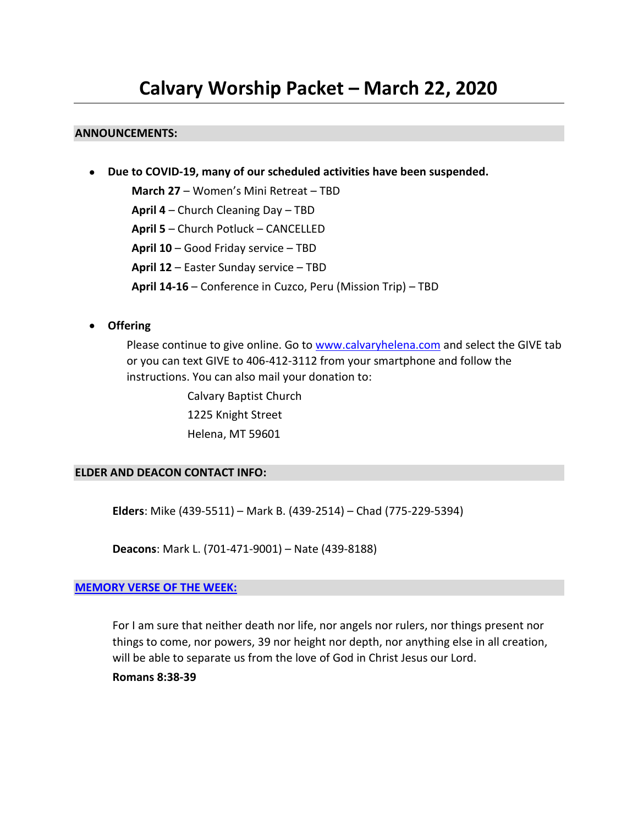# **Calvary Worship Packet – March 22, 2020**

#### **ANNOUNCEMENTS:**

• **Due to COVID-19, many of our scheduled activities have been suspended.**

**March 27** – Women's Mini Retreat – TBD **April 4** – Church Cleaning Day – TBD **April 5** – Church Potluck – CANCELLED **April 10** – Good Friday service – TBD **April 12** – Easter Sunday service – TBD **April 14-16** – Conference in Cuzco, Peru (Mission Trip) – TBD

• **Offering**

Please continue to give online. Go t[o www.calvaryhelena.com](http://www.calvaryhelena.com/) and select the GIVE tab or you can text GIVE to 406-412-3112 from your smartphone and follow the instructions. You can also mail your donation to:

> Calvary Baptist Church 1225 Knight Street Helena, MT 59601

#### **ELDER AND DEACON CONTACT INFO:**

**Elders**: Mike (439-5511) – Mark B. (439-2514) – Chad (775-229-5394)

**Deacons**: Mark L. (701-471-9001) – Nate (439-8188)

#### **[MEMORY VERSE OF THE WEEK:](https://fighterverses.com/set-5-core-esv/week-12/)**

For I am sure that neither death nor life, nor angels nor rulers, nor things present nor things to come, nor powers, 39 nor height nor depth, nor anything else in all creation, will be able to separate us from the love of God in Christ Jesus our Lord.

**Romans 8:38-39**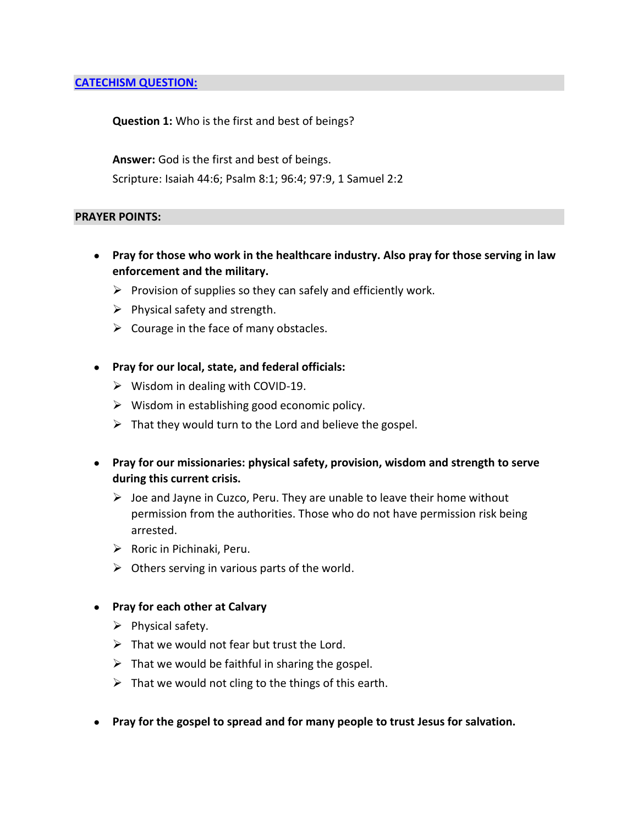#### **[CATECHISM QUESTION:](https://www.desiringgod.org/articles/a-baptist-catechism)**

**Question 1:** Who is the first and best of beings?

**Answer:** God is the first and best of beings.

Scripture: [Isaiah 44:6;](https://biblia.com/bible/esv/Isa%2044.6) [Psalm 8:1;](https://biblia.com/bible/esv/Ps%208.1) [96:4;](https://biblia.com/bible/esv/Psalm%2096.4) [97:9,](https://biblia.com/bible/esv/Psalm%2097.9) [1 Samuel 2:2](https://biblia.com/bible/esv/1%20Sam%202.2)

#### **PRAYER POINTS:**

- **Pray for those who work in the healthcare industry. Also pray for those serving in law enforcement and the military.**
	- $\triangleright$  Provision of supplies so they can safely and efficiently work.
	- $\triangleright$  Physical safety and strength.
	- $\triangleright$  Courage in the face of many obstacles.
- **Pray for our local, state, and federal officials:**
	- $\triangleright$  Wisdom in dealing with COVID-19.
	- $\triangleright$  Wisdom in establishing good economic policy.
	- $\triangleright$  That they would turn to the Lord and believe the gospel.
- **Pray for our missionaries: physical safety, provision, wisdom and strength to serve during this current crisis.** 
	- $\triangleright$  Joe and Jayne in Cuzco, Peru. They are unable to leave their home without permission from the authorities. Those who do not have permission risk being arrested.
	- ➢ Roric in Pichinaki, Peru.
	- $\triangleright$  Others serving in various parts of the world.
- **Pray for each other at Calvary**
	- $\triangleright$  Physical safety.
	- $\triangleright$  That we would not fear but trust the Lord.
	- $\triangleright$  That we would be faithful in sharing the gospel.
	- $\triangleright$  That we would not cling to the things of this earth.
- **Pray for the gospel to spread and for many people to trust Jesus for salvation.**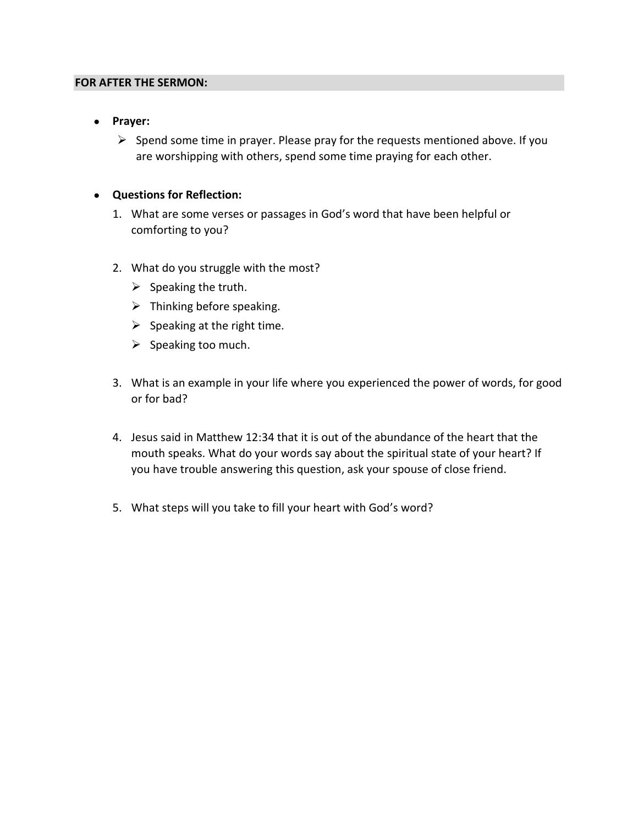#### **FOR AFTER THE SERMON:**

- **Prayer:**
	- $\triangleright$  Spend some time in prayer. Please pray for the requests mentioned above. If you are worshipping with others, spend some time praying for each other.

#### • **Questions for Reflection:**

- 1. What are some verses or passages in God's word that have been helpful or comforting to you?
- 2. What do you struggle with the most?
	- $\triangleright$  Speaking the truth.
	- $\triangleright$  Thinking before speaking.
	- $\triangleright$  Speaking at the right time.
	- $\triangleright$  Speaking too much.
- 3. What is an example in your life where you experienced the power of words, for good or for bad?
- 4. Jesus said in Matthew 12:34 that it is out of the abundance of the heart that the mouth speaks. What do your words say about the spiritual state of your heart? If you have trouble answering this question, ask your spouse of close friend.
- 5. What steps will you take to fill your heart with God's word?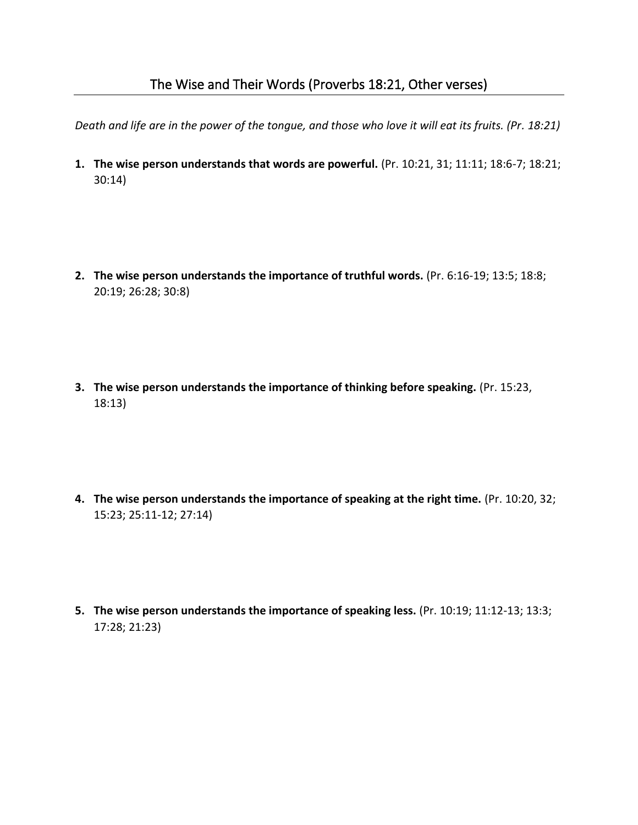*Death and life are in the power of the tongue, and those who love it will eat its fruits. (Pr. 18:21)* 

**1. The wise person understands that words are powerful.** (Pr. 10:21, 31; 11:11; 18:6-7; 18:21; 30:14)

- **2. The wise person understands the importance of truthful words.** (Pr. 6:16-19; 13:5; 18:8; 20:19; 26:28; 30:8)
- **3. The wise person understands the importance of thinking before speaking.** (Pr. 15:23, 18:13)
- **4. The wise person understands the importance of speaking at the right time.** (Pr. 10:20, 32; 15:23; 25:11-12; 27:14)
- **5. The wise person understands the importance of speaking less.** (Pr. 10:19; 11:12-13; 13:3; 17:28; 21:23)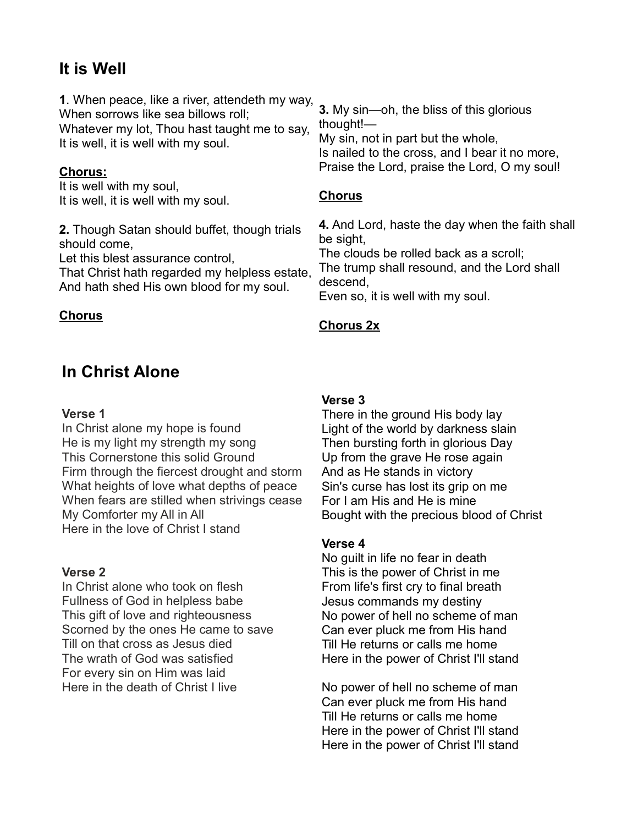## It is Well

1. When peace, like a river, attendeth my way, When sorrows like sea billows roll; Whatever my lot, Thou hast taught me to say,

It is well, it is well with my soul.

#### Chorus:

It is well with my soul, It is well, it is well with my soul.

2. Though Satan should buffet, though trials should come,

Let this blest assurance control,

That Christ hath regarded my helpless estate, And hath shed His own blood for my soul.

#### Chorus

## In Christ Alone

#### Verse 1

In Christ alone my hope is found He is my light my strength my song This Cornerstone this solid Ground Firm through the fiercest drought and storm What heights of love what depths of peace When fears are stilled when strivings cease My Comforter my All in All Here in the love of Christ I stand

#### Verse 2

In Christ alone who took on flesh Fullness of God in helpless babe This gift of love and righteousness Scorned by the ones He came to save Till on that cross as Jesus died The wrath of God was satisfied For every sin on Him was laid Here in the death of Christ I live

3. My sin—oh, the bliss of this glorious thought!—

My sin, not in part but the whole, Is nailed to the cross, and I bear it no more, Praise the Lord, praise the Lord, O my soul!

#### Chorus

4. And Lord, haste the day when the faith shall be sight,

The clouds be rolled back as a scroll; The trump shall resound, and the Lord shall descend,

Even so, it is well with my soul.

#### Chorus 2x

#### Verse 3

There in the ground His body lay Light of the world by darkness slain Then bursting forth in glorious Day Up from the grave He rose again And as He stands in victory Sin's curse has lost its grip on me For I am His and He is mine Bought with the precious blood of Christ

#### Verse 4

No guilt in life no fear in death This is the power of Christ in me From life's first cry to final breath Jesus commands my destiny No power of hell no scheme of man Can ever pluck me from His hand Till He returns or calls me home Here in the power of Christ I'll stand

No power of hell no scheme of man Can ever pluck me from His hand Till He returns or calls me home Here in the power of Christ I'll stand Here in the power of Christ I'll stand